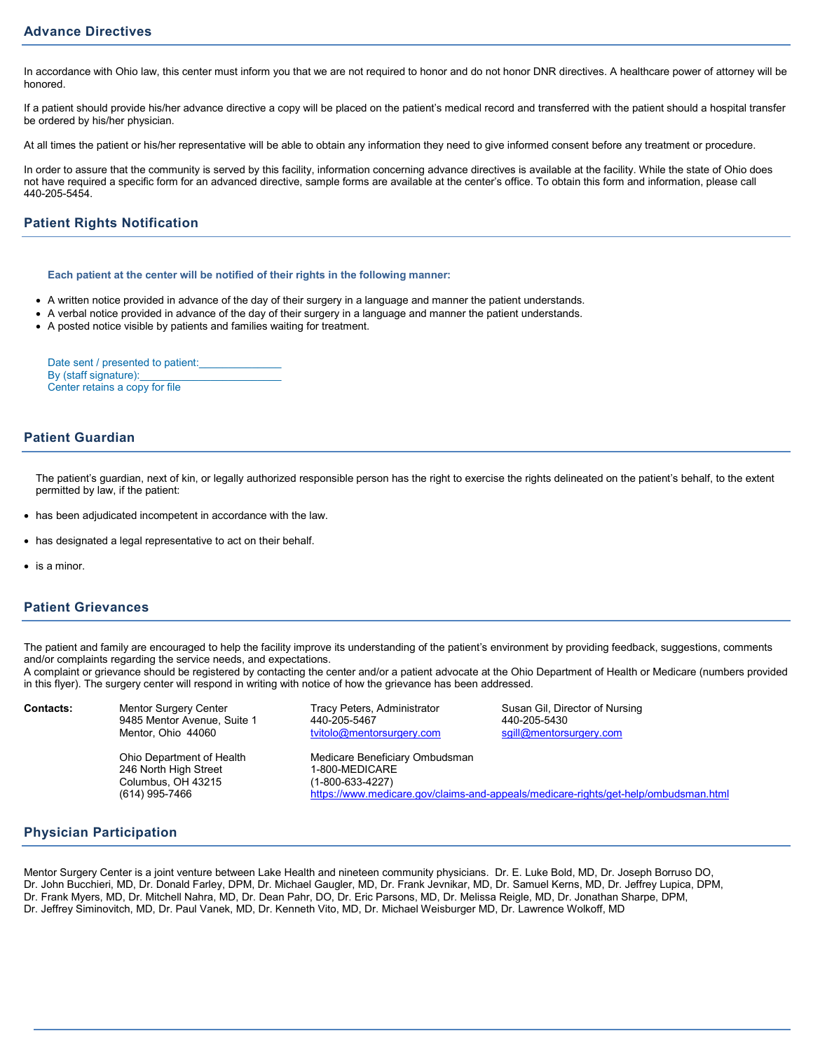## **Advance Directives**

In accordance with Ohio law, this center must inform you that we are not required to honor and do not honor DNR directives. A healthcare power of attorney will be honored.

If a patient should provide his/her advance directive a copy will be placed on the patient's medical record and transferred with the patient should a hospital transfer be ordered by his/her physician.

At all times the patient or his/her representative will be able to obtain any information they need to give informed consent before any treatment or procedure.

In order to assure that the community is served by this facility, information concerning advance directives is available at the facility. While the state of Ohio does not have required a specific form for an advanced directive, sample forms are available at the center's office. To obtain this form and information, please call 440-205-5454.

# **Patient Rights Notification**

#### **Each patient at the center will be notified of their rights in the following manner:**

- A written notice provided in advance of the day of their surgery in a language and manner the patient understands.
- A verbal notice provided in advance of the day of their surgery in a language and manner the patient understands.
- A posted notice visible by patients and families waiting for treatment.

Date sent / presented to patient: By (staff signature): Center retains a copy for file

### **Patient Guardian**

The patient's guardian, next of kin, or legally authorized responsible person has the right to exercise the rights delineated on the patient's behalf, to the extent permitted by law, if the patient:

- has been adjudicated incompetent in accordance with the law.
- has designated a legal representative to act on their behalf.
- is a minor.

## **Patient Grievances**

The patient and family are encouraged to help the facility improve its understanding of the patient's environment by providing feedback, suggestions, comments and/or complaints regarding the service needs, and expectations.

A complaint or grievance should be registered by contacting the center and/or a patient advocate at the Ohio Department of Health or Medicare (numbers provided in this flyer). The surgery center will respond in writing with notice of how the grievance has been addressed.

| <b>Contacts:</b> | <b>Mentor Surgery Center</b> |
|------------------|------------------------------|
|                  | 9485 Mentor Avenue, Suite 1  |
|                  | Mentor, Ohio 44060           |

Ohio Department of Health Medicare Beneficiary Ombudsman<br>246 North High Street 1-800-MEDICARE 246 North High Street 1-800-MEDICARE Columbus, OH 43215

440-205-5467<br>tvitolo@mentorsurgery.com sqill@mentorsurgery.com tvitolo@mentorsurgery.com

Tracy Peters, Administrator **Contacts:** Susan Gil, Director of Nursing<br>440-205-5467<br>440-205-5430

(614) 995-7466 https://www.medicare.gov/claims-and-appeals/medicare-rights/get-help/ombudsman.html

### **Physician Participation**

Mentor Surgery Center is a joint venture between Lake Health and nineteen community physicians. Dr. E. Luke Bold, MD, Dr. Joseph Borruso DO, Dr. John Bucchieri, MD, Dr. Donald Farley, DPM, Dr. Michael Gaugler, MD, Dr. Frank Jevnikar, MD, Dr. Samuel Kerns, MD, Dr. Jeffrey Lupica, DPM, Dr. Frank Myers, MD, Dr. Mitchell Nahra, MD, Dr. Dean Pahr, DO, Dr. Eric Parsons, MD, Dr. Melissa Reigle, MD, Dr. Jonathan Sharpe, DPM, Dr. Jeffrey Siminovitch, MD, Dr. Paul Vanek, MD, Dr. Kenneth Vito, MD, Dr. Michael Weisburger MD, Dr. Lawrence Wolkoff, MD